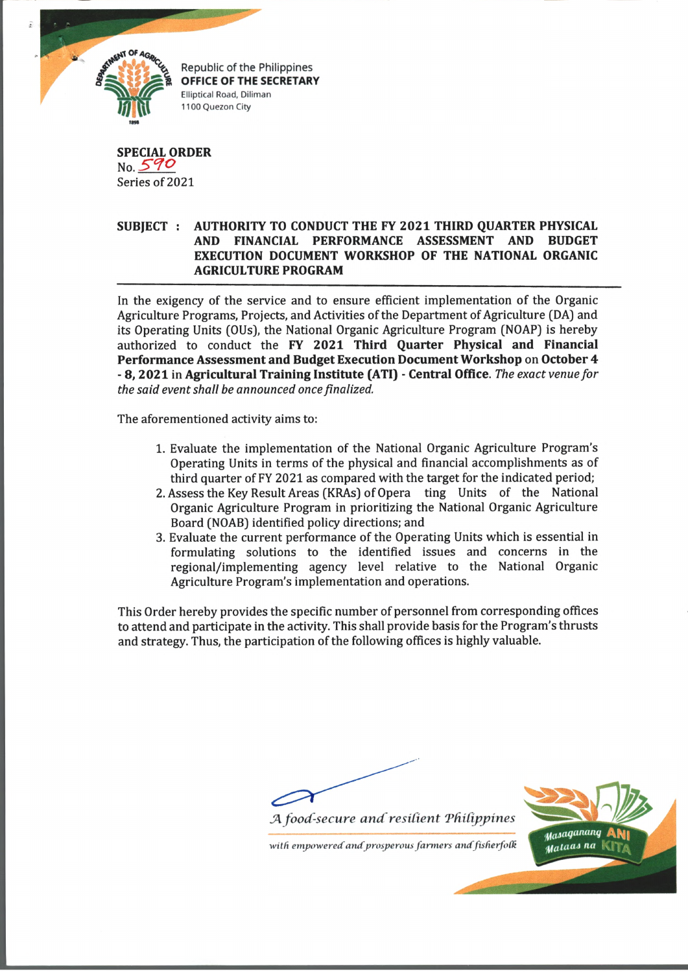

Republic of the Philippines OFFICE OF THE SECRETARY Elliptical Road, Diliman 1100 Quezon City

**SPECIAL ORDER** No. *5 ^ 0* Series of 2021

## **SUBJECT : AUTHORITY TO CONDUCT THE FY 2021 THIRD QUARTER PHYSICAL AND FINANCIAL PERFORMANCE ASSESSMENT AND BUDGET EXECUTION DOCUMENT WORKSHOP OF THE NATIONAL ORGANIC AGRICULTURE PROGRAM**

In the exigency of the service and to ensure efficient implementation of the Organic Agriculture Programs, Projects, and Activities of the Department of Agriculture (DA) and its Operating Units (OUs), the National Organic Agriculture Program (NOAP) is hereby authorized to conduct the **FY 2021 Third Quarter Physical and Financial Performance Assessment and Budget Execution Document Workshop** on **October 4 - 8, 2021** in **Agricultural Training Institute (ATI) - Central Office.** *The exact venue for the said event shall be announced once finalized.*

The aforementioned activity aims to:

- 1. Evaluate the implementation of the National Organic Agriculture Program's Operating Units in terms of the physical and financial accomplishments as of third quarter of FY 2021 as compared with the target for the indicated period;
- 2. Assess the Key Result Areas (KRAs) of Opera ting Units of the National Organic Agriculture Program in prioritizing the National Organic Agriculture Board (NOAB) identified policy directions; and
- 3. Evaluate the current performance of the Operating Units which is essential in formulating solutions to the identified issues and concerns in the regional/implementing agency level relative to the National Organic Agriculture Program's implementation and operations.

This Order hereby provides the specific number of personnel from corresponding offices to attend and participate in the activity. This shall provide basis for the Program's thrusts and strategy. Thus, the participation of the following offices is highly valuable.



with empowered and prosperous farmers and fisherfolk